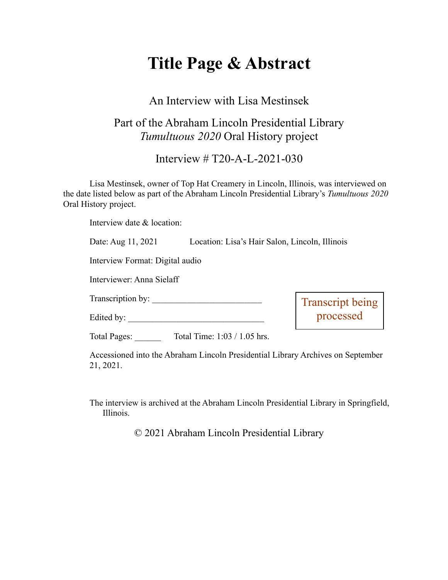# **Title Page & Abstract**

#### An Interview with Lisa Mestinsek

### Part of the Abraham Lincoln Presidential Library *Tumultuous 2020* Oral History project

Interview # T20-A-L-2021-030

Lisa Mestinsek, owner of Top Hat Creamery in Lincoln, Illinois, was interviewed on the date listed below as part of the Abraham Lincoln Presidential Library's *Tumultuous 2020* Oral History project.

Interview date & location:

| Date: Aug 11, 2021              | Location: Lisa's Hair Salon, Lincoln, Illinois                                  |                               |
|---------------------------------|---------------------------------------------------------------------------------|-------------------------------|
| Interview Format: Digital audio |                                                                                 |                               |
| Interviewer: Anna Sielaff       |                                                                                 |                               |
| Transcription by:               |                                                                                 |                               |
| Edited by:                      |                                                                                 | Transcript being<br>processed |
| <b>Total Pages:</b>             | Total Time: 1:03 / 1.05 hrs.                                                    |                               |
| 21, 2021.                       | Accessioned into the Abraham Lincoln Presidential Library Archives on September |                               |
|                                 |                                                                                 |                               |

The interview is archived at the Abraham Lincoln Presidential Library in Springfield, Illinois.

© 2021 Abraham Lincoln Presidential Library